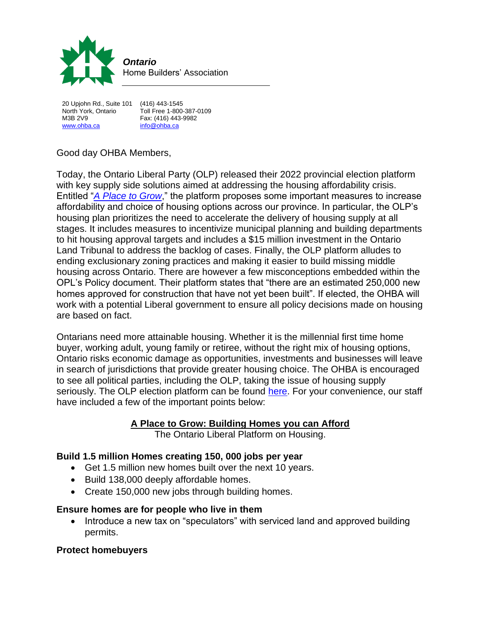

20 Upjohn Rd., Suite 101 (416) 443-1545 M3B 2V9 Fax: (416) 443-9982 [www.ohba.ca](http://www.ohba.ca/) [info@ohba.ca](mailto:info@ohba.ca)

Toll Free 1-800-387-0109

# Good day OHBA Members,

Today, the Ontario Liberal Party (OLP) released their 2022 provincial election platform with key supply side solutions aimed at addressing the housing affordability crisis. Entitled "*[A Place to Grow](chrome-extension://efaidnbmnnnibpcajpcglclefindmkaj/https:/ontarioliberal.ca/wp-content/uploads/2022/05/Ontario-Liberal-Platform.pdf)*," the platform proposes some important measures to increase affordability and choice of housing options across our province. In particular, the OLP's housing plan prioritizes the need to accelerate the delivery of housing supply at all stages. It includes measures to incentivize municipal planning and building departments to hit housing approval targets and includes a \$15 million investment in the Ontario Land Tribunal to address the backlog of cases. Finally, the OLP platform alludes to ending exclusionary zoning practices and making it easier to build missing middle housing across Ontario. There are however a few misconceptions embedded within the OPL's Policy document. Their platform states that "there are an estimated 250,000 new homes approved for construction that have not yet been built". If elected, the OHBA will work with a potential Liberal government to ensure all policy decisions made on housing are based on fact.

Ontarians need more attainable housing. Whether it is the millennial first time home buyer, working adult, young family or retiree, without the right mix of housing options, Ontario risks economic damage as opportunities, investments and businesses will leave in search of jurisdictions that provide greater housing choice. The OHBA is encouraged to see all political parties, including the OLP, taking the issue of housing supply seriously. The OLP election platform can be found [here.](https://ontarioliberal.ca/wp-content/uploads/2022/05/Ontario-Liberal-Platform.pdf) For your convenience, our staff have included a few of the important points below:

#### **A Place to Grow: Building Homes you can Afford**

The Ontario Liberal Platform on Housing.

# **Build 1.5 million Homes creating 150, 000 jobs per year**

- Get 1.5 million new homes built over the next 10 years.
- Build 138,000 deeply affordable homes.
- Create 150,000 new jobs through building homes.

#### **Ensure homes are for people who live in them**

• Introduce a new tax on "speculators" with serviced land and approved building permits.

# **Protect homebuyers**